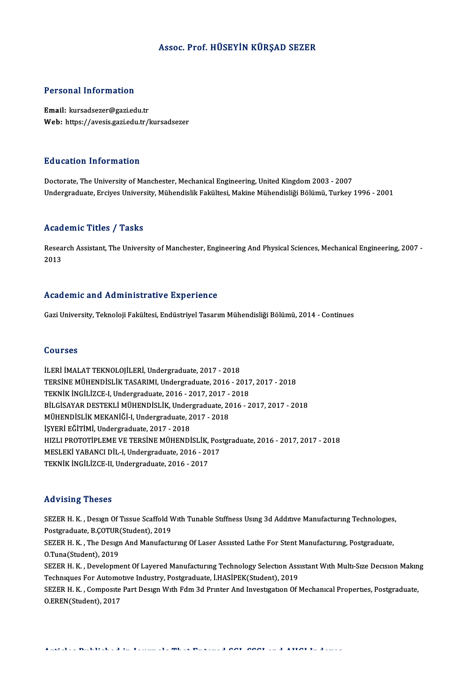### Assoc. Prof.HÜSEYİN KÜRŞAD SEZER

### Personal Information

Email: kursadsezer@gazi.edu.tr Web: https://avesis.gazi.edu.tr/kursadsezer

### Education Information

Doctorate, The University of Manchester, Mechanical Engineering, United Kingdom 2003 - 2007 Undergraduate, Erciyes University, Mühendislik Fakültesi, Makine Mühendisliği Bölümü, Turkey 1996 - 2001

### Academic Titles / Tasks

**Academic Titles / Tasks**<br>Research Assistant, The University of Manchester, Engineering And Physical Sciences, Mechanical Engineering, 2007 -<br>2013 neua<br>Resea<br>2013 Academic and Administrative Experience

Gazi University, Teknoloji Fakültesi, Endüstriyel Tasarım Mühendisliği Bölümü, 2014 - Continues

### Courses

İLERİ İMALAT TEKNOLOJİLERİ, Undergraduate, 2017 - 2018 SOG1999<br>İLERİ İMALAT TEKNOLOJİLERİ, Undergraduate, 2017 - 2018<br>TERSİNE MÜHENDİSLİK TASARIMI, Undergraduate, 2016 - 2017, 2017 - 2018<br>TEKNİK İNCİLİZCE LUndergraduate, 2016 - 2017, 2017, 2019 İLERİ İMALAT TEKNOLOJİLERİ, Undergraduate, 2017 - 2018<br>TERSİNE MÜHENDİSLİK TASARIMI, Undergraduate, 2016 - 2017<br>TEKNİK İNGİLİZCE-I, Undergraduate, 2016 - 2017, 2017 - 2018<br>PU CİSAXAR DESTEVLİ MÜHENDİSLİK Undergraduate, 201 TEKNİK İNGİLİZCE-I, Undergraduate, 2016 - 2017, 2017 - 2018<br>BİLGİSAYAR DESTEKLİ MÜHENDİSLİK, Undergraduate, 2016 - 2017, 2017 - 2018 TEKNİK İNGİLİZCE-I, Undergraduate, 2016 - 2017, 2017 -<br>BİLGİSAYAR DESTEKLİ MÜHENDİSLİK, Undergraduate, 20<br>MÜHENDİSLİK MEKANİĞİ-I, Undergraduate, 2017 - 2018<br>İSVERİ FĞİTİMİ, Undergraduate, 2017 - 2019 BİLGİSAYAR DESTEKLİ MÜHENDİSLİK, Under<br>MÜHENDİSLİK MEKANİĞİ-I, Undergraduate, 2<br>İŞYERİ EĞİTİMİ, Undergraduate, 2017 - 2018<br>HIZLI PROTOTİRI EME VE TERSİNE MÜHENDİ MÜHENDİSLİK MEKANİĞİ-I, Undergraduate, 2017 - 2018<br>İŞYERİ EĞİTİMİ, Undergraduate, 2017 - 2018<br>HIZLI PROTOTİPLEME VE TERSİNE MÜHENDİSLİK, Postgraduate, 2016 - 2017, 2017 - 2018<br>MESLEKİ YARANCI DİL LUndergraduate, 2016 - 201 İŞYERİ EĞİTİMİ, Undergraduate, 2017 - 2018<br>HIZLI PROTOTİPLEME VE TERSİNE MÜHENDİSLİK, Pos<br>MESLEKİ YABANCI DİL-I, Undergraduate, 2016 - 2017<br>TEKNİK İNCİLİZCE IL Undergraduate, 2016 - 2017 HIZLI PROTOTİPLEME VE TERSİNE MÜHENDİSLİK,<br>MESLEKİ YABANCI DİL-I, Undergraduate, 2016 - 20<br>TEKNİK İNGİLİZCE-II, Undergraduate, 2016 - 2017 TEKNİK İNGİLİZCE-II, Undergraduate, 2016 - 2017<br>Advising Theses

Advising Theses<br>SEZER H. K. , Desıgn Of Tıssue Scaffold Wıth Tunable Stıffness Usıng 3d Addıtıve Manufacturıng Technologıes,<br>Pestsuaduata B.COTUP(Student), 2019 Provisional Process<br>SEZER H. K. , Design Of Tissue Scaffold V<br>Postgraduate, B.ÇOTUR(Student), 2019<br>SEZER H. K. , The Docum And Monufactu SEZER H. K. , Design Of Tissue Scaffold With Tunable Stiffness Using 3d Additive Manufacturing Technologies<br>Postgraduate, B.ÇOTUR(Student), 2019<br>SEZER H. K. , The Design And Manufacturing Of Laser Assisted Lathe For Stent Postgraduate, B.ÇOTUR(Student), 2019<br>SEZER H. K. , The Design And Manufacturing Of Laser Assisted Lathe For Stent Manufacturing, Postgraduate,<br>O.Tuna(Student), 2019 SEZER H. K. , The Design And Manufacturing Of Laser Assisted Lathe For Stent Manufacturing, Postgraduate,<br>O.Tuna(Student), 2019<br>SEZER H. K. , Development Of Layered Manufacturing Technology Selection Assistant With Multi-S O.Tuna(Student), 2019<br>SEZER H. K. , Development Of Layered Manufacturing Technology Selection Ass<br>Techniques For Automotive Industry, Postgraduate, İ.HASİPEK(Student), 2019<br>SEZER H. K., Composite Part Design With Edm 2d Pu SEZER H. K. , Development Of Layered Manufacturing Technology Selection Assistant With Multi-Size Decision Makin<br>Techniques For Automotive Industry, Postgraduate, İ.HASİPEK(Student), 2019<br>SEZER H. K. , Composite Part Desig Techniques For Automotive Industry, Postgraduate, İ.HASİPEK(Student), 2019<br>SEZER H. K. , Composite Part Design With Fdm 3d Printer And Investigation Of Mechanical Properties, Postgraduate,<br>O.EREN(Student), 2017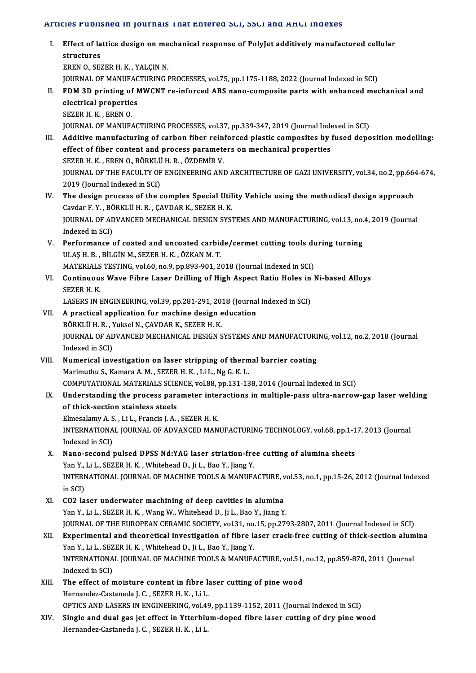### Articles Published in Journals That Entered SCI, SSCI and AHCI Indexes

- I. Effect of lattice design onmechanical response of PolyJet additivelymanufactured cel ular STRUCTURE<br>Effect of la<br>EPEN O SET Effect of lattice design on me<br>structures<br>EREN 0., SEZER H. K. , YALÇIN N.<br>JOUPMAL OF MANUEACTUPINE L structures<br>EREN 0., SEZER H. K. , YALÇIN N.<br>JOURNAL OF MANUFACTURING PROCESSES, vol.75, pp.1175-1188, 2022 (Journal Indexed in SCI)<br>EDM 3D printing of MWCNT no informed APS nano-somposite parts with enhanced mes EREN 0., SEZER H. K. , YALÇIN N.<br>JOURNAL OF MANUFACTURING PROCESSES, vol.75, pp.1175-1188, 2022 (Journal Indexed in SCI)<br>II. FDM 3D printing of MWCNT re-inforced ABS nano-composite parts with enhanced mechanical and<br>alastr **JOURNAL OF MANUFAC<br>FDM 3D printing of N<br>electrical properties<br>SEZED H K EDEN Q** FDM 3D printing of<br>electrical propertie<br>SEZER H. K. , EREN 0.<br>JOUPMAL OF MANUE electrical properties<br>SEZER H. K. , EREN 0.<br>JOURNAL OF MANUFACTURING PROCESSES, vol.37, pp.339-347, 2019 (Journal Indexed in SCI) III. Additive manufacturing of carbon fiber reinforced plastic composites by fused deposition modelling: JOURNAL OF MANUFACTURING PROCESSES, vol.37, pp.339-347, 2019 (Journal Inde<br>Additive manufacturing of carbon fiber reinforced plastic composites by<br>effect of fiber content and process parameters on mechanical properties<br>SEZ Additive manufacturing of carbon fiber rein<br>effect of fiber content and process paramete<br>SEZER H. K. , EREN O., BÖRKLÜ H. R. , ÖZDEMİR V.<br>JOUPNAL OF THE FACULTY OF ENCINEERING AND JOURNAL OF THE FACULTY OF ENGINEERING AND ARCHITECTURE OF GAZI UNIVERSITY, vol.34, no.2, pp.664-674,<br>2019 (Journal Indexed in SCI) SEZER H. K., EREN O., BÖRKLÜ H. R., ÖZDEMİR V. IOURNAL OF THE FACULTY OF ENGINEERING AND ARCHITECTURE OF GAZI UNIVERSITY, vol.34, no.2, pp.664<br>2019 (Journal Indexed in SCI)<br>IV. The design process of the complex Special Utility Vehicle using the methodical design approa 2019 (Journal Indexed in SCI)<br>The design process of the complex Special Util<br>Cavdar F. Y. , BÖRKLÜ H. R. , ÇAVDAR K., SEZER H. K.<br>JOUPNAL OF ADVANCED MECHANICAL DESIGN SYS' The design process of the complex Special Utility Vehicle using the methodical design approach<br>Cavdar F. Y. , BÖRKLÜ H. R. , ÇAVDAR K., SEZER H. K.<br>JOURNAL OF ADVANCED MECHANICAL DESIGN SYSTEMS AND MANUFACTURING, vol.13, n Cavdar F. Y. , BÖRKLÜ H. R. , ÇAVDAR K., SEZER H. K.<br>JOURNAL OF ADVANCED MECHANICAL DESIGN SYSTEMS AND MANUFACTURING, vol.13, no.4, 2019 (Journal<br>Indexed in SCI) JOURNAL OF ADVANCED MECHANICAL DESIGN SYSTEMS AND MANUFACTURING, vol.13, no.<br>Indexed in SCI)<br>V. Performance of coated and uncoated carbide/cermet cutting tools during turning<br>III AS H P. PILCIN M. SEZER H V. ÖZKAN M.T. Indexed in SCI)<br>Performance of coated and uncoated carbic<br>ULAŞ H. B. , BİLGİN M., SEZER H. K. , ÖZKAN M. T.<br>MATERIALS TESTING YOLEO ne 9 np 993-991-34 Performance of coated and uncoated carbide/cermet cutting tools du<br>ULAŞ H. B. , BİLGİN M., SEZER H. K. , ÖZKAN M. T.<br>MATERIALS TESTING, vol.60, no.9, pp.893-901, 2018 (Journal Indexed in SCI)<br>Continuous Wave Eibre Laser Dr ULAŞ H. B. , BİLGİN M., SEZER H. K. , ÖZKAN M. T.<br>MATERIALS TESTING, vol.60, no.9, pp.893-901, 2018 (Journal Indexed in SCI)<br>VI. Continuous Wave Fibre Laser Drilling of High Aspect Ratio Holes in Ni-based Alloys<br>SEZER H. K MATERIALS TESTING, vol.60, no.9, pp.893-901, 2018 (Journal Indexed in SCI) Continuous Wave Fibre Laser Drilling of High Aspect Ratio Holes in<br>SEZER H. K.<br>LASERS IN ENGINEERING, vol.39, pp.281-291, 2018 (Journal Indexed in SCI)<br>A prestical application for mashine design education. VII. A practical application for machine design education<br>BÖRKLÜ H. R., Yuksel N., CAVDAR K., SEZER H. K. LASERS IN ENGINEERING, vol.39, pp.281-291, 20<br>A practical application for machine design e<br>BÖRKLÜ H. R. , Yuksel N., ÇAVDAR K., SEZER H. K.<br>JOUPNAL OF ADVANCED MECHANICAL DESIGN S A practical application for machine design education<br>BÖRKLÜ H. R. , Yuksel N., ÇAVDAR K., SEZER H. K.<br>JOURNAL OF ADVANCED MECHANICAL DESIGN SYSTEMS AND MANUFACTURING, vol.12, no.2, 2018 (Journal<br>Indeved in SCD BÖRKLÜ H. R. , )<br>JOURNAL OF AL<br>Indexed in SCI)<br>Numarical inv JOURNAL OF ADVANCED MECHANICAL DESIGN SYSTEMS AND MANUFACTURI<br>Indexed in SCI)<br>VIII. Numerical investigation on laser stripping of thermal barrier coating<br>Marimuthu S. Kamara A.M. SEZER H.K. Li J. Ng G. K.J. Indexed in SCI)<br>Numerical investigation on laser stripping of thermal barrier coating<br>Marimuthu S., Kamara A. M. , SEZER H. K. , Li L., Ng G. K. L. COMPUTATIONAL MATERIALS SCIENCE, vol.88, pp.131-138, 2014 (Journal Indexed in SCI) Marimuthu S., Kamara A. M. , SEZER H. K. , Li L., Ng G. K. L.<br>COMPUTATIONAL MATERIALS SCIENCE, vol.88, pp.131-138, 2014 (Journal Indexed in SCI)<br>IX. Understanding the process parameter interactions in multiple-pass ultra-n COMPUTATIONAL MATERIALS SCIE<br>Understanding the process para<br>of thick-section stainless steels<br>Elmosalamy A S LiL Exancial A Understanding the process parameter interpretent of thick-section stainless steels<br>Elmesalamy A. S. , Li L., Francis J. A. , SEZER H. K.<br>INTERNATIONAL JOURNAL OF ADVANCED MAN of thick-section stainless steels<br>Elmesalamy A. S., Li L., Francis J. A., SEZER H. K.<br>INTERNATIONAL JOURNAL OF ADVANCED MANUFACTURING TECHNOLOGY, vol.68, pp.1-17, 2013 (Journal<br>Indexed in SCI) Elmesalamy A. S., Li L., Francis J. A., SEZER H. K. INTERNATIONAL JOURNAL OF ADVANCED MANUFACTURING TECHNOLOGY, vol.68, pp.1-1<br>Indexed in SCI)<br>X. Nano-second pulsed DPSS Nd:YAG laser striation-free cutting of alumina sheets<br>Yon Y, Lil, SEZER H, K, Whitehead D, Lil, Bee Y, J Indexed in SCI)<br>Nano-second pulsed DPSS Nd:YAG laser striation-fre<br>Yan Y., Li L., SEZER H. K. , Whitehead D., Ji L., Bao Y., Jiang Y.<br>INTERNATIONAL JOURNAL OF MACHINE TOOLS & MANUE Nano-second pulsed DPSS Nd:YAG laser striation-free cutting of alumina sheets<br>Yan Y., Li L., SEZER H. K. , Whitehead D., Ji L., Bao Y., Jiang Y.<br>INTERNATIONAL JOURNAL OF MACHINE TOOLS & MANUFACTURE, vol.53, no.1, pp.15-26, Yan Y.,<br>INTERN<br>in SCI)<br>CO2 Ja XI. CO2 laser underwater machining of deep cavities in alumina Yan Y., Li L., SEZER H. K., Wang W., Whitehead D., Ji L., Bao Y., Jiang Y. CO2 laser underwater machining of deep cavities in alumina<br>Yan Y., Li L., SEZER H. K. , Wang W., Whitehead D., Ji L., Bao Y., Jiang Y.<br>JOURNAL OF THE EUROPEAN CERAMIC SOCIETY, vol.31, no.15, pp.2793-2807, 2011 (Journal Ind XII. Experimental and theoretical investigation of fibre laser crack-free cutting of thick-section alumina<br>Yan Y., Li L., SEZER H. K., Whitehead D., Ji L., Bao Y., Jiang Y. JOURNAL OF THE EUROPEAN CERAMIC SOCIETY, vol.31, no.<br>Experimental and theoretical investigation of fibre l:<br>Yan Y., Li L., SEZER H. K. , Whitehead D., Ji L., Bao Y., Jiang Y.<br>INTERNATIONAL JOURNAL OF MACHINE TOOLS & MANUE. Experimental and theoretical investigation of fibre laser crack-free cutting of thick-section alum<br>Yan Y., Li L., SEZER H. K. , Whitehead D., Ji L., Bao Y., Jiang Y.<br>INTERNATIONAL JOURNAL OF MACHINE TOOLS & MANUFACTURE, vo Yan Y., Li L., SEZ<br>INTERNATIONA<br>Indexed in SCI)<br>The effect of r INTERNATIONAL JOURNAL OF MACHINE TOOLS & MANUFACTURE, vol.51,<br>Indexed in SCI)<br>XIII. The effect of moisture content in fibre laser cutting of pine wood<br>Herpandez Cestaneda J.C. SEZER H.K. LiJ Indexed in SCI)<br>The effect of moisture content in fibre la<br>Hernandez-Castaneda J.C. , SEZER H. K. , Li L.<br>OPTICS AND LASERS IN ENCINEERING .vol 46 Hernandez-Castaneda J. C., SEZER H. K., Li L.<br>OPTICS AND LASERS IN ENGINEERING, vol.49, pp.1139-1152, 2011 (Journal Indexed in SCI) Hernandez-Castaneda J. C., SEZER H. K., Li L.<br>OPTICS AND LASERS IN ENGINEERING, vol.49, pp.1139-1152, 2011 (Journal Indexed in SCI)<br>XIV. Single and dual gas jet effect in Ytterbium-doped fibre laser cutting of dry pine woo
- OPTICS AND LASERS IN ENGINEERING, vol.49<br>Si<mark>ngle and dual gas jet effect in Ytterbiu</mark><br>Hernandez-Castaneda J. C. , SEZER H. K. , Li L.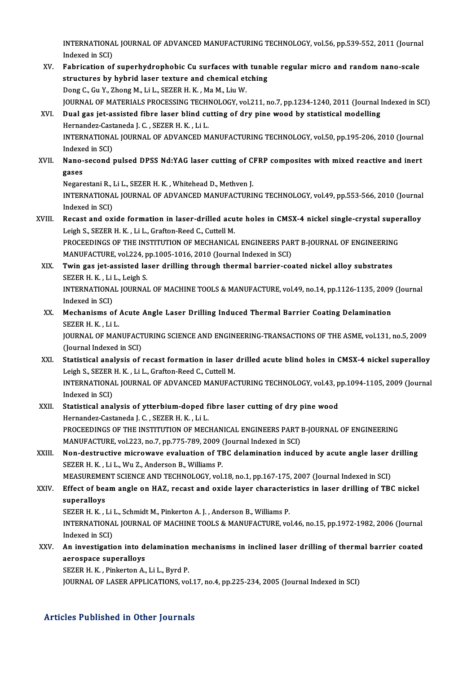INTERNATIONAL JOURNAL OF ADVANCED MANUFACTURING TECHNOLOGY, vol.56, pp.539-552, 2011 (Journal INTERNATIONA<br>Indexed in SCI)<br>Echnication of INTERNATIONAL JOURNAL OF ADVANCED MANUFACTURING TECHNOLOGY, vol.56, pp.539-552, 2011 (Journa<br>Indexed in SCI)<br>XV. Fabrication of superhydrophobic Cu surfaces with tunable regular micro and random nano-scale<br>Atwatures by byb

- Indexed in SCI)<br>Fabrication of superhydrophobic Cu surfaces with tunal<br>structures by hybrid laser texture and chemical etching<br>Peng C. Cu. Y. Zhang M. Lil., SEZER H. K., Ma M. Liu W. Fabrication of superhydrophobic Cu surfaces with<br>structures by hybrid laser texture and chemical et<br>Dong C., Gu Y., Zhong M., Li L., SEZER H. K. , Ma M., Liu W.<br>JOUPNAL OF MATERIALS PROCESSING TEGUNOLOGY vo Dong C., Gu Y., Zhong M., Li L., SEZER H. K. , Ma M., Liu W.<br>JOURNAL OF MATERIALS PROCESSING TECHNOLOGY, vol.211, no.7, pp.1234-1240, 2011 (Journal Indexed in SCI) Dong C., Gu Y., Zhong M., Li L., SEZER H. K. , Ma M., Liu W.<br>JOURNAL OF MATERIALS PROCESSING TECHNOLOGY, vol.211, no.7, pp.1234-1240, 2011 (Journal I<br>XVI. Dual gas jet-assisted fibre laser blind cutting of dry pine wood by
- JOURNAL OF MATERIALS PROCESSING TECHI<br>Dual gas jet-assisted fibre laser blind cu<br>Hernandez-Castaneda J. C. , SEZER H. K. , Li L.<br>INTERNATIONAL JOURNAL OF ADVANCED M Dual gas jet-assisted fibre laser blind cutting of dry pine wood by statistical modelling<br>Hernandez-Castaneda J. C. , SEZER H. K. , Li L.<br>INTERNATIONAL JOURNAL OF ADVANCED MANUFACTURING TECHNOLOGY, vol.50, pp.195-206, 2010 Hernandez-Cast<br>INTERNATIONA<br>Indexed in SCI)<br>Nane second INTERNATIONAL JOURNAL OF ADVANCED MANUFACTURING TECHNOLOGY, vol.50, pp.195-206, 2010 (Journal Indexed in SCI)<br>XVII. Nano-second pulsed DPSS Nd:YAG laser cutting of CFRP composites with mixed reactive and inert<br>Tases

# Indexe<br>Nano-<br>gases<br>Negare Nano-second pulsed DPSS Nd:YAG laser cutting of C.<br>gases<br>Negarestani R., Li L., SEZER H. K. , Whitehead D., Methven J.<br>INTERNATIONAL JOURNAL OF ADVANCED MANUEACTURU

gases<br>Negarestani R., Li L., SEZER H. K. , Whitehead D., Methven J.<br>INTERNATIONAL JOURNAL OF ADVANCED MANUFACTURING TECHNOLOGY, vol.49, pp.553-566, 2010 (Journal Negarestani R., I<br>INTERNATIONA<br>Indexed in SCI)<br>Resest and ox INTERNATIONAL JOURNAL OF ADVANCED MANUFACTURING TECHNOLOGY, vol.49, pp.553-566, 2010 (Journal<br>Indexed in SCI)<br>XVIII. Recast and oxide formation in laser-drilled acute holes in CMSX-4 nickel single-crystal superalloy

# Indexed in SCI)<br>Recast and oxide formation in laser-drilled acu<br>Leigh S., SEZER H. K. , Li L., Grafton-Reed C., Cuttell M.<br>PROCEEDINGS OF THE INSTITUTION OF MECHANICA Recast and oxide formation in laser-drilled acute holes in CMSX-4 nickel single-crystal super<br>Leigh S., SEZER H. K. , Li L., Grafton-Reed C., Cuttell M.<br>PROCEEDINGS OF THE INSTITUTION OF MECHANICAL ENGINEERS PART B-JOURNAL

Leigh S., SEZER H. K. , Li L., Grafton-Reed C., Cuttell M.<br>PROCEEDINGS OF THE INSTITUTION OF MECHANICAL ENGINEERS PART B-JOURNAL OF ENGINEERING<br>MANUFACTURE, vol.224, pp.1005-1016, 2010 (Journal Indexed in SCI) PROCEEDINGS OF THE INSTITUTION OF MECHANICAL ENGINEERS PART B-JOURNAL OF ENGINEERIN<br>MANUFACTURE, vol.224, pp.1005-1016, 2010 (Journal Indexed in SCI)<br>XIX. Twin gas jet-assisted laser drilling through thermal barrier-coated

- MANUFACTURE, vol.224, p<br>Twin gas jet-assisted la<br>SEZER H. K. , Li L., Leigh S.<br>INTERNATIONAL JOURNAL Twin gas jet-assisted laser drilling through thermal barrier-coated nickel alloy substrates<br>SEZER H. K. , Li L., Leigh S.<br>INTERNATIONAL JOURNAL OF MACHINE TOOLS & MANUFACTURE, vol.49, no.14, pp.1126-1135, 2009 (Journal<br>Ind SEZER H. K. , Li L., Leigh S.<br>INTERNATIONAL JOURNAL OF MACHINE TOOLS & MANUFACTURE, vol.49, no.14, pp.1126-1135, 2009 (Journal<br>Indexed in SCI)
- INTERNATIONAL JOURNAL OF MACHINE TOOLS & MANUFACTURE, vol.49, no.14, pp.1126-1135, 2009<br>Indexed in SCI)<br>XX. Mechanisms of Acute Angle Laser Drilling Induced Thermal Barrier Coating Delamination<br>SEZER H K Li I Indexed in SCI)<br>Mechanisms of .<br>SEZER H. K. , Li L.<br>JOUPNAL OF MAN Mechanisms of Acute Angle Laser Drilling Induced Thermal Barrier Coating Delamination<br>SEZER H. K. , Li L.<br>JOURNAL OF MANUFACTURING SCIENCE AND ENGINEERING-TRANSACTIONS OF THE ASME, vol.131, no.5, 2009<br>(Journal Indoved in S

SEZER H. K. , Li L.<br>JOURNAL OF MANUFACT<br>(Journal Indexed in SCI)<br>Statistical analysis of : JOURNAL OF MANUFACTURING SCIENCE AND ENGINEERING-TRANSACTIONS OF THE ASME, vol.131, no.5, 2009<br>(Journal Indexed in SCI)<br>XXI. Statistical analysis of recast formation in laser drilled acute blind holes in CMSX-4 nickel supe

- (Journal Indexed in SCI)<br>Statistical analysis of recast formation in laser<br>Leigh S., SEZER H. K. , Li L., Grafton-Reed C., Cuttell M.<br>INTERNATIONAL JOURNAL OF ADVANCED MANUEAC Statistical analysis of recast formation in laser drilled acute blind holes in CMSX-4 nickel superalloy<br>Leigh S., SEZER H. K. , Li L., Grafton-Reed C., Cuttell M.<br>INTERNATIONAL JOURNAL OF ADVANCED MANUFACTURING TECHNOLOGY, Leigh S., SEZER<br>INTERNATIONA<br>Indexed in SCI)<br>Statistical and INTERNATIONAL JOURNAL OF ADVANCED MANUFACTURING TECHNOLOGY, vol.43, p<br>Indexed in SCI)<br>XXII. Statistical analysis of ytterbium-doped fibre laser cutting of dry pine wood<br>Hernandes Cestanede L.C. SEZER H.K. Lil
- Indexed in SCI)<br>Statistical analysis of ytterbium-doped f<br>Hernandez-Castaneda J. C. , SEZER H. K. , Li L.<br>PROCEEDINCS OF THE INSTITUTION OF MEC Hernandez-Castaneda J. C. , SEZER H. K. , Li L.<br>PROCEEDINGS OF THE INSTITUTION OF MECHANICAL ENGINEERS PART B-JOURNAL OF ENGINEERING Hernandez-Castaneda J. C. , SEZER H. K. , Li L.<br>PROCEEDINGS OF THE INSTITUTION OF MECHANICAL ENGINEERS PART I<br>MANUFACTURE, vol.223, no.7, pp.775-789, 2009 (Journal Indexed in SCI)<br>Nan-destructive misrowaye evoluation of TB
- XXIII. Non-destructive microwave evaluation of TBC delamination induced by acute angle laser drilling<br>SEZER H. K., Li L., Wu Z., Anderson B., Williams P. MANUFACTURE, vol.223, no.7, pp.775-789, 2009 (<br>Non-destructive microwave evaluation of TI<br>SEZER H. K. , Li L., Wu Z., Anderson B., Williams P.<br>MEASUPEMENT SCIENCE AND TECHNOLOCY vol. Non-destructive microwave evaluation of TBC delamination induced by acute angle laser (<br>SEZER H. K. , Li L., Wu Z., Anderson B., Williams P.<br>MEASUREMENT SCIENCE AND TECHNOLOGY, vol.18, no.1, pp.167-175, 2007 (Journal Index

## XXIV. Effect of beam angle on HAZ, recast and oxide layer characteristics in laser drilling of TBC nickel<br>superalloys MEASUREME<br>Effect of bea<br>superalloys<br>sezep u *v* Effect of beam angle on HAZ, recast and oxide layer character<br>superalloys<br>SEZER H. K. , Li L., Schmidt M., Pinkerton A. J. , Anderson B., Williams P.<br>INTERNATIONAL JOURNAL OF MACHINE TOOLS & MANUEACTURE vo

superalloys<br>SEZER H. K. , Li L., Schmidt M., Pinkerton A. J. , Anderson B., Williams P.<br>INTERNATIONAL JOURNAL OF MACHINE TOOLS & MANUFACTURE, vol.46, no.15, pp.1972-1982, 2006 (Journal<br>Indexed in SCD. SEZER H. K. , Li<br>INTERNATIONA<br>Indexed in SCI)<br>An investigatio INTERNATIONAL JOURNAL OF MACHINE TOOLS & MANUFACTURE, vol.46, no.15, pp.1972-1982, 2006 (Journal<br>Indexed in SCI)<br>XXV. An investigation into delamination mechanisms in inclined laser drilling of thermal barrier coated<br>20505

Indexed in SCI)<br>XXV. An investigation into delamination mechanisms in inclined laser drilling of thermal barrier coated<br>aerospace superalloys

SEZERH.K. ,PinkertonA.,LiL.,ByrdP.

JOURNALOF LASERAPPLICATIONS,vol.17,no.4,pp.225-234,2005 (Journal Indexed inSCI)

### Articles Published in Other Journals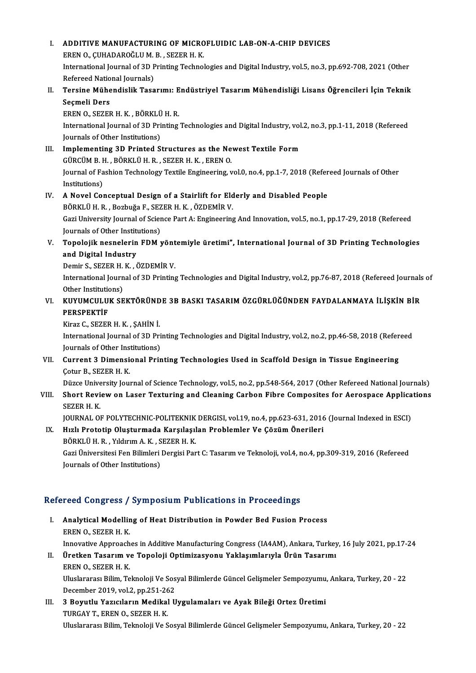### I. ADDITIVE MANUFACTURING OF MICROFLUIDIC LAB-ON-A-CHIP DEVICES **ADDITIVE MANUFACTURING OF MICRO<br>EREN O., ÇUHADAROĞLU M. B. , SEZER H. K.<br>International Journal of 2D Printing Technol** International Journal of 3D Printing Technologies and Digital Industry, vol.5, no.3, pp.692-708, 2021 (Other<br>Refereed National Iournals) EREN O., ÇUHADAROĞLU M.<br>International Journal of 3D P<br>Refereed National Journals)<br>Torsine Mühandialik Tass International Journal of 3D Printing Technologies and Digital Industry, vol.5, no.3, pp.692-708, 2021 (Other<br>Refereed National Journals)<br>II. Tersine Mühendislik Tasarımı: Endüstriyel Tasarım Mühendisliği Lisans Öğrenci Refereed Natio<br>Tersine Mühe<br>Seçmeli Ders<br>EPEN O. SEZEL Tersine Mühendislik Tasarımı: E<br>Seçmeli Ders<br>EREN 0., SEZER H. K. , BÖRKLÜ H. R.<br>International Journal of 2D Printing Seçmeli Ders<br>EREN 0., SEZER H. K. , BÖRKLÜ H. R.<br>International Journal of 3D Printing Technologies and Digital Industry, vol.2, no.3, pp.1-11, 2018 (Refereed Journals of Other Institutions) International Journal of 3D Printing Technologies and Digital Industry, vol<br>Journals of Other Institutions)<br>III. Implementing 3D Printed Structures as the Newest Textile Form<br>CUPCUM B H - BÖPKLÜ H B - SEZER H K - EREN O Journals of Other Institutions)<br>Implementing 3D Printed Structures as the Ne<br>GÜRCÜM B. H. , BÖRKLÜ H. R. , SEZER H. K. , EREN O.<br>Journal of Eschion Technology Teytile Engineering v Journal of Fashion Technology Textile Engineering, vol.0, no.4, pp.1-7, 2018 (Refereed Journals of Other<br>Institutions) GÜRCÜM B.H., BÖRKLÜ H.R., SEZER H.K., EREN O. Journal of Fashion Technology Textile Engineering, vol.0, no.4, pp.1-7, 2018 (Refer<br>Institutions)<br>IV. A Novel Conceptual Design of a Stairlift for Elderly and Disabled People<br>POPLI II IP. Borbuğa E. SEZEP H.K. ÖZDEMİR V. Institutions)<br>A Novel Conceptual Design of a Stairlift for Eld<br>BÖRKLÜ H. R. , Bozbuğa F., SEZER H. K. , ÖZDEMİR V.<br>Ceri University Journal of Ssiense Pert A: Engineering Gazi University Journal of Science Part A: Engineering And Innovation, vol.5, no.1, pp.17-29, 2018 (Refereed Journals of Other Institutions) BÖRKLÜ H. R., Bozbuğa F., SEZER H. K., ÖZDEMİR V. Gazi University Journal of Science Part A: Engineering And Innovation, vol.5, no.1, pp.17-29, 2018 (Refereed<br>Journals of Other Institutions)<br>V. Topolojik nesnelerin FDM yöntemiyle üretimi", International Journal of 3D Prin Journals of Other Institution<br>Topolojik nesnelerin<br>and Digital Industry<br>Domin S. SEZED H.K. Topolojik nesnelerin FDM yönt<br>and Digital Industry<br>Demir S., SEZER H. K. , ÖZDEMİR V.<br>International Journal of 2D Printing and Digital Industry<br>Demir S., SEZER H. K. , ÖZDEMİR V.<br>International Journal of 3D Printing Technologies and Digital Industry, vol.2, pp.76-87, 2018 (Refereed Journals of<br>Other Institutions) Demir S., SEZER H. K., ÖZDEMİR V. International Journal of 3D Printing Technologies and Digital Industry, vol.2, pp.76-87, 2018 (Refereed Journals<br>Other Institutions)<br>VI. KUYUMCULUK SEKTÖRÜNDE 3B BASKI TASARIM ÖZGÜRLÜĞÜNDEN FAYDALANMAYA İLİŞKİN BİR<br>REPSPEK Other Institution<br>**KUYUMCULU**<br>PERSPEKTİF<br>Kiraz C. SEZER KUYUMCULUK SEKTÖRÜND<br>PERSPEKTİF<br>Kiraz C., SEZER H. K. , ŞAHİN İ.<br>International Jaurnal of 2D Bri PERSPEKTİF<br>Kiraz C., SEZER H. K. , ŞAHİN İ.<br>International Journal of 3D Printing Technologies and Digital Industry, vol.2, no.2, pp.46-58, 2018 (Refereed<br>Journals of Other Institutions) Kiraz C., SEZER H. K. , ŞAHİN İ.<br>International Journal of 3D Pri<br>Journals of Other Institutions)<br>Current 3 Dimensional Brin Journals of Other Institutions)<br>VII. Current 3 Dimensional Printing Technologies Used in Scaffold Design in Tissue Engineering Çotur B, SEZER H.K. Current 3 Dimensional Printing Technologies Used in Scaffold Design in Tissue Engineering<br>Cotur B., SEZER H. K.<br>Düzce University Journal of Science Technology, vol.5, no.2, pp.548-564, 2017 (Other Refereed National Journal VIII. Short Review on Laser Texturing and Cleaning Carbon Fibre Composites for Aerospace Applications<br>SEZER H. K. Düzce Unive<br>Short Revi<br>SEZER H. K.<br>JOUPNAL O JOURNAL OF POLYTECHNIC-POLITEKNIK DERGISI, vol.19, no.4, pp.623-631, 2016 (Journal Indexed in ESCI) SEZER H. K.<br>JOURNAL OF POLYTECHNIC-POLITEKNIK DERGISI, vol.19, no.4, pp.623-631, 2016<br>IX. Hızlı Prototip Oluşturmada Karşılaşılan Problemler Ve Çözüm Önerileri<br>PÖPKLÜ H. P. Yıldırım A. K. SEZER H. K. JOURNAL OF POLYTECHNIC-POLITEKNIK<br>Hızlı Prototip Oluşturmada Karşılaşıl<br>BÖRKLÜ H. R. , Yıldırım A. K. , SEZER H. K.<br>Ceri Üniversitesi Fen Bilimleri Dergisi Pen Gazi Üniversitesi Fen Bilimleri Dergisi Part C: Tasarım ve Teknoloji, vol.4, no.4, pp.309-319, 2016 (Refereed<br>Journals of Other Institutions) BÖRKLÜ H. R., Yıldırım A. K., SEZER H. K. Refereed Congress / Symposium Publications in Proceedings efereed Congress / Symposium Publications in Proceedings<br>I. Analytical Modelling of Heat Distribution in Powder Bed Fusion Process<br>FREN O. SEZER H. K. Analytical Modellin<br>EREN 0., SEZER H. K.<br>Innovative Annreach Analytical Modelling of Heat Distribution in Powder Bed Fusion Process<br>EREN 0., SEZER H. K.<br>Innovative Approaches in Additive Manufacturing Congress (IA4AM), Ankara, Turkey, 16 July 2021, pp.17-24<br>Unatkan Tasanum ve Tanala EREN O., SEZER H. K.<br>Innovative Approaches in Additive Manufacturing Congress (IA4AM), Ankara, Turkey<br>II. Üretken Tasarım ve Topoloji Optimizasyonu Yaklaşımlarıyla Ürün Tasarımı<br>EREN O., SEZER H. K.

- Innovative Approach<br><mark>Üretken Tasarım v</mark><br>EREN O., SEZER H. K.<br>Uluslananası Bilim Ta Üretken Tasarım ve Topoloji Optimizasyonu Yaklaşımlarıyla Ürün Tasarımı<br>EREN 0., SEZER H. K.<br>Uluslararası Bilim, Teknoloji Ve Sosyal Bilimlerde Güncel Gelişmeler Sempozyumu, Ankara, Turkey, 20 - 22<br>Desember 2010 vel 2. nn EREN O., SEZER H. K.<br>Uluslararası Bilim, Teknoloji Ve Sos<br>December 2019, vol.2, pp.251-262<br>2. Boyutlu Yazısıların Modil'al II Uluslararası Bilim, Teknoloji Ve Sosyal Bilimlerde Güncel Gelişmeler Sempozyumu<br>December 2019, vol.2, pp.251-262<br>III. 3 Boyutlu Yazıcıların Medikal Uygulamaları ve Ayak Bileği Ortez Üretimi<br>TUDGAY T. EREN O. SEZER H. K
- December 2019, vol.2, pp.251-26<br>3 Boyutlu Yazıcıların Medikal<br>TURGAY T., EREN O., SEZER H. K.<br>Hluslararası Bilim Telmeleji Ve S TURGAY T., EREN O., SEZER H. K.<br>Uluslararası Bilim, Teknoloji Ve Sosyal Bilimlerde Güncel Gelişmeler Sempozyumu, Ankara, Turkey, 20 - 22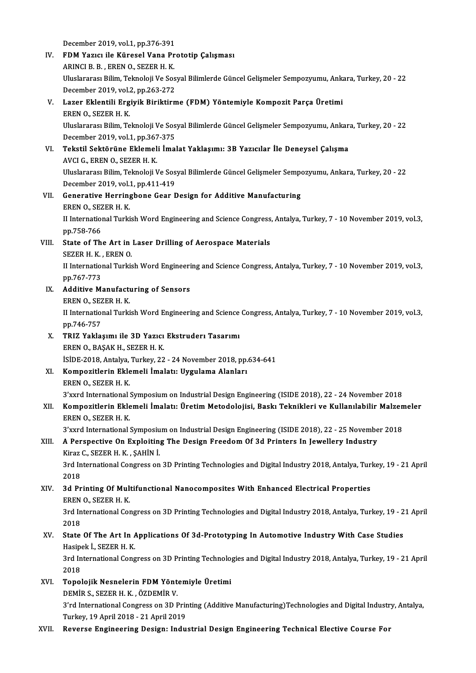December 2019, vol.1, pp.376-391<br>FDM Youse ile Künesel Vane Br

IV. FDM Yazıcı ile Küresel Vana Prototip Çalışması<br>ARINCI B. B., EREN O., SEZER H. K. December 2019, vol.1, pp.376-391<br>FDM Yazıcı ile Küresel Vana Pr<br>ARINCI B. B. , EREN 0., SEZER H. K.<br>Hluelararacı Bilim Telmeleji Ve Ses FDM Yazıcı ile Küresel Vana Prototip Çalışması<br>ARINCI B. B. , EREN 0., SEZER H. K.<br>Uluslararası Bilim, Teknoloji Ve Sosyal Bilimlerde Güncel Gelişmeler Sempozyumu, Ankara, Turkey, 20 - 22<br>Desember 2010 val 2. np.262.272 ARINCI B. B. , EREN O., SEZER H. K.<br>Uluslararası Bilim, Teknoloji Ve Sos<br>December 2019, vol.2, pp.263-272<br>Lazer Eklentili Ergivik Biriktirn V. Lazer Eklentili Ergiyik Biriktirme (FDM) Yöntemiyle Kompozit Parça Üretimi December 2019, vol.2, pp.263-272

Lazer Eklentili Ergiyik Biriktirme (FDM) Yöntemiyle Kompozit Parça Üretimi<br>EREN 0., SEZER H. K.<br>Uluslararası Bilim, Teknoloji Ve Sosyal Bilimlerde Güncel Gelişmeler Sempozyumu, Ankara, Turkey, 20 - 22<br>Desember 2019 yol 1. EREN O., SEZER H. K.<br>Uluslararası Bilim, Teknoloji Ve Sos<br>December 2019, vol.1, pp.367-375<br>Tekstil Sektörüne Eklemeli İmel Vluslararası Bilim, Teknoloji Ve Sosyal Bilimlerde Güncel Gelişmeler Sempozyumu, Ankara<br>December 2019, vol.1, pp.367-375<br>VI. Tekstil Sektörüne Eklemeli İmalat Yaklaşımı: 3B Yazıcılar İle Deneysel Çalışma<br>AVCLC EREN O SEZER

December 2019, vol.1, pp.367<br><mark>Tekstil Sektörüne Eklemel</mark><br>AVCI G., EREN O., SEZER H. K.<br>Uluslararesı Bilim Telmeleji I AVCI G., EREN O., SEZER H. K.<br>Uluslararası Bilim, Teknoloji Ve Sosyal Bilimlerde Güncel Gelişmeler Sempozyumu, Ankara, Turkey, 20 - 22 December 2019, vol 1, pp 411-419

## Uluslararası Bilim, Teknoloji Ve Sosyal Bilimlerde Güncel Gelişmeler Sempo<br>December 2019, vol.1, pp.411-419<br>VII. Generative Herringbone Gear Design for Additive Manufacturing<br>FREN O. SEZER H. K. December 2019, vol.1<br>Generative Herring<br>EREN O., SEZER H. K.<br>H. International Turki Generative Herringbone Gear Design for Additive Manufacturing<br>EREN 0., SEZER H. K.<br>II International Turkish Word Engineering and Science Congress, Antalya, Turkey, 7 - 10 November 2019, vol.3,<br>nn 759 766 EREN O., SEZ<br>II Internation<br>pp.758-766<br>State of Th

II International Turkish Word Engineering and Science Congress<br>pp.758-766<br>VIII. State of The Art in Laser Drilling of Aerospace Materials<br>SEZER H K EREN O pp.758-766<br>State of The Art in<br>SEZER H. K. , EREN 0.<br>H. International Turkis

State of The Art in Laser Drilling of Aerospace Materials<br>SEZER H. K. , EREN 0.<br>II International Turkish Word Engineering and Science Congress, Antalya, Turkey, 7 - 10 November 2019, vol.3,<br>nn 767 772 SEZER H. K.<br>II Internation<br>pp.767-773<br>Additive M. II International Turkish Word Engineeri<br>pp.767-773<br>IX. Additive Manufacturing of Sensors<br>EPENO SEZEP H V pp.767-773<br><mark>Additive Manufactı</mark><br>EREN O., SEZER H. K.<br>II International Turki

- -

Additive Manufacturing of Sensors<br>EREN 0., SEZER H. K.<br>II International Turkish Word Engineering and Science Congress, Antalya, Turkey, 7 - 10 November 2019, vol.3,<br>nn 746 757 EREN O., SEZ<br>II Internation<br>pp.746-757<br>TPI7 Vakla II International Turkish Word Engineering and Science<br>pp.746-757<br>X. TRIZ Yaklaşımı ile 3D Yazıcı Ekstruderı Tasarımı<br>EREN O BASAK U SEZER U K

- pp.746-757<br>X. TRIZ Yaklaşımı ile 3D Yazıcı Ekstruderı Tasarımı<br>EREN 0., BAŞAK H., SEZER H. K. İSİDE-2018,Antalya,Turkey,22 -24November 2018,pp.634-641 EREN O., BAŞAK H., SEZER H. K.<br>İSİDE-2018, Antalya, Turkey, 22 - 24 November 2018, pp.<br>XI. Kompozitlerin Eklemeli İmalatı: Uygulama Alanları<br>EREN O. SEZER H. K.
- SIDE-2018, Antalya,<br>Kompozitlerin Ekle<br>EREN 0., SEZER H. K.<br><sup>27</sup>wud International

EREN O., SEZER H. K.<br>3'xxrd International Symposium on Industrial Design Engineering (ISIDE 2018), 22 - 24 November 2018

EREN 0., SEZER H. K.<br>3'xxrd International Symposium on Industrial Design Engineering (ISIDE 2018), 22 - 24 November 2018<br>XII. Kompozitlerin Eklemeli İmalatı: Üretim Metodolojisi, Baskı Teknikleri ve Kullanılabilir Malz 3'xxrd International :<br>Kompozitlerin Ekle<br>EREN 0., SEZER H. K.<br><sup>2'</sup>'''"d International : Kompozitlerin Eklemeli İmalatı: Üretim Metodolojisi, Baskı Teknikleri ve Kullanılabilir Malzen<br>EREN 0., SEZER H. K.<br>3'xxrd International Symposium on Industrial Design Engineering (ISIDE 2018), 22 - 25 November 2018<br>A Bara

## EREN O., SEZER H. K.<br>3'xxrd International Symposium on Industrial Design Engineering (ISIDE 2018), 22 - 25 Novembe<br>XIII. A Perspective On Exploiting The Design Freedom Of 3d Printers In Jewellery Industry<br>Kingr C. SEZER H. 3'xxrd International Symposiu<br>A Perspective On Exploitin<br>Kiraz C., SEZER H. K. , ŞAHİN İ.<br><sup>2nd International Congress on</sub></sup> Kiraz C., SEZER H. K., ŞAHİN İ.

3rd International Congress on 3D Printing Technologies and Digital Industry 2018, Antalya, Turkey, 19 - 21 April<br>2018 3rd International Congress on 3D Printing Technologies and Digital Industry 2018, Antalya, Tur.<br>2018<br>XIV. 3d Printing Of Multifunctional Nanocomposites With Enhanced Electrical Properties

# 2018<br>**3d Printing Of Mult<br>EREN O., SEZER H. K.**<br>2rd International Cor 3d Printing Of Multifunctional Nanocomposites With Enhanced Electrical Properties<br>EREN 0., SEZER H. K.<br>3rd International Congress on 3D Printing Technologies and Digital Industry 2018, Antalya, Turkey, 19 - 21 April<br>2018

EREN<br>3rd In<br>2018<br>State 3rd International Congress on 3D Printing Technologies and Digital Industry 2018, Antalya, Turkey, 19 - 2<br>2018<br>XV. State Of The Art In Applications Of 3d-Prototyping In Automotive Industry With Case Studies<br>Hosinek L. SEZE

# 2018<br>State Of The Art In A<br>Hasipek İ., SEZER H.K.<br><sup>2nd International Cong</sub></sup> State Of The Art In Applications Of 3d-Prototyping In Automotive Industry With Case Studies<br>Hasipek İ., SEZER H. K.<br>3rd International Congress on 3D Printing Technologies and Digital Industry 2018, Antalya, Turkey, 19 - 21

Hasipek İ., SEZER H. K.<br>3rd International Congress on 3D Printing Technologies and Digital Industry 2018, Antalya, Turkey, 19 - 21 April<br>2018 3rd International Congress on 3D Printing Technolog<br>2018<br>XVI. Topolojik Nesnelerin FDM Yöntemiyle Üretimi<br>DEMIR S SEZERH K ÖZDEMIR V

- 2018<br>Topolojik Nesnelerin FDM Yönt<br>DEMİR S., SEZER H. K. , ÖZDEMİR V.<br><sup>2'nd</sup> International Congress on 2D L Topolojik Nesnelerin FDM Yöntemiyle Üretimi<br>DEMİR S., SEZER H. K. , ÖZDEMİR V.<br>3'rd International Congress on 3D Printing (Additive Manufacturing)Technologies and Digital Industry, Antalya, DEMİR S., SEZER H. K. , ÖZDEMİR V.<br>3'rd International Congress on 3D Prir<br>Turkey, 19 April 2018 - 21 April 2019<br>Boyansa Enginearing Design: Indu
- Turkey, 19 April 2018 21 April 2019<br>XVII. Reverse Engineering Design: Industrial Design Engineering Technical Elective Course For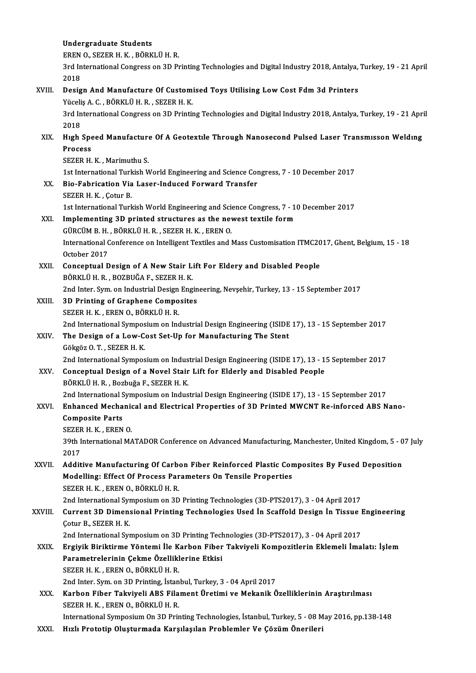|         | <b>Undergraduate Students</b>                                                                                             |
|---------|---------------------------------------------------------------------------------------------------------------------------|
|         | EREN O., SEZER H. K., BÖRKLÜ H. R.                                                                                        |
|         | 3rd International Congress on 3D Printing Technologies and Digital Industry 2018, Antalya, Turkey, 19 - 21 April<br>2018  |
| XVIII.  | Design And Manufacture Of Customised Toys Utilising Low Cost Fdm 3d Printers<br>Yüceliş A. C., BÖRKLÜ H. R., SEZER H. K.  |
|         | 3rd International Congress on 3D Printing Technologies and Digital Industry 2018, Antalya, Turkey, 19 - 21 April<br>2018  |
| XIX.    | High Speed Manufacture Of A Geotextile Through Nanosecond Pulsed Laser Transmisson Welding<br>Process                     |
|         | SEZER H. K., Marimuthu S.                                                                                                 |
|         | 1st International Turkish World Engineering and Science Congress, 7 - 10 December 2017                                    |
| XX.     | Bio-Fabrication Via Laser-Induced Forward Transfer<br>SEZER H. K., Çotur B.                                               |
|         | 1st International Turkish World Engineering and Science Congress, 7 - 10 December 2017                                    |
| XXI.    | Implementing 3D printed structures as the newest textile form                                                             |
|         | GÜRCÜM B.H., BÖRKLÜ H.R., SEZER H.K., EREN O.                                                                             |
|         | International Conference on Intelligent Textiles and Mass Customisation ITMC2017, Ghent, Belgium, 15 - 18<br>October 2017 |
| XXII.   | Conceptual Design of A New Stair Lift For Eldery and Disabled People                                                      |
|         | BÖRKLÜ H. R., BOZBUĞA F., SEZER H. K.                                                                                     |
|         | 2nd Inter. Sym. on Industrial Design Engineering, Nevşehir, Turkey, 13 - 15 September 2017                                |
| XXIII.  | 3D Printing of Graphene Composites                                                                                        |
|         | SEZER H K , EREN O , BÖRKLÜ H R                                                                                           |
|         | 2nd International Symposium on Industrial Design Engineering (ISIDE 17), 13 - 15 September 2017                           |
| XXIV.   | The Design of a Low-Cost Set-Up for Manufacturing The Stent<br>Gökgöz O T, SEZER H K                                      |
|         | 2nd International Symposium on Industrial Design Engineering (ISIDE 17), 13 - 15 September 2017                           |
| XXV.    | Conceptual Design of a Novel Stair Lift for Elderly and Disabled People<br>BÖRKLÜ H. R., Bozbuğa F., SEZER H. K.          |
|         | 2nd International Symposium on Industrial Design Engineering (ISIDE 17), 13 - 15 September 2017                           |
| XXVI.   | Enhanced Mechanical and Electrical Properties of 3D Printed MWCNT Re-inforced ABS Nano-                                   |
|         | <b>Composite Parts</b>                                                                                                    |
|         | SEZER H. K., EREN O.                                                                                                      |
|         | 39th International MATADOR Conference on Advanced Manufacturing, Manchester, United Kingdom, 5 - 07 July<br>2017          |
| XXVII.  | Additive Manufacturing Of Carbon Fiber Reinforced Plastic Composites By Fused Deposition                                  |
|         | Modelling: Effect Of Process Parameters On Tensile Properties<br>SEZER H. K., EREN O., BÖRKLÜ H. R.                       |
|         | 2nd International Symposium on 3D Printing Technologies (3D-PTS2017), 3 - 04 April 2017                                   |
| XXVIII. | Current 3D Dimensional Printing Technologies Used In Scaffold Design In Tissue Engineering<br>Cotur B., SEZER H. K.       |
|         | 2nd International Symposium on 3D Printing Technologies (3D-PTS2017), 3 - 04 April 2017                                   |
| XXIX.   | Ergiyik Biriktirme Yöntemi İle Karbon Fiber Takviyeli Kompozitlerin Eklemeli İmalatı: İşlem                               |
|         | Parametrelerinin Çekme Özelliklerine Etkisi                                                                               |
|         | SEZER H. K., EREN O., BÖRKLÜ H. R.                                                                                        |
|         | 2nd Inter. Sym. on 3D Printing, İstanbul, Turkey, 3 - 04 April 2017                                                       |
| XXX.    | Karbon Fiber Takviyeli ABS Filament Üretimi ve Mekanik Özelliklerinin Araştırılması<br>SEZER H. K., EREN O., BÖRKLÜ H. R. |
|         | International Symposium On 3D Printing Technologies, İstanbul, Turkey, 5 - 08 May 2016, pp.138-148                        |
| XXXI.   | Hızlı Prototip Oluşturmada Karşılaşılan Problemler Ve Çözüm Önerileri                                                     |
|         |                                                                                                                           |